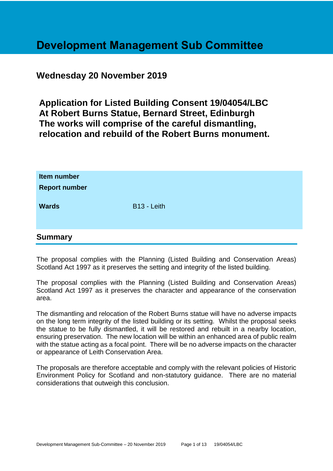# **Development Management Sub Committee**

### **Wednesday 20 November 2019**

**Application for Listed Building Consent 19/04054/LBC At Robert Burns Statue, Bernard Street, Edinburgh The works will comprise of the careful dismantling, relocation and rebuild of the Robert Burns monument.**

| Item number<br><b>Report number</b> |                         |
|-------------------------------------|-------------------------|
| <b>Wards</b>                        | B <sub>13</sub> - Leith |
| <b>Summary</b>                      |                         |

The proposal complies with the Planning (Listed Building and Conservation Areas) Scotland Act 1997 as it preserves the setting and integrity of the listed building.

The proposal complies with the Planning (Listed Building and Conservation Areas) Scotland Act 1997 as it preserves the character and appearance of the conservation area.

The dismantling and relocation of the Robert Burns statue will have no adverse impacts on the long term integrity of the listed building or its setting. Whilst the proposal seeks the statue to be fully dismantled, it will be restored and rebuilt in a nearby location, ensuring preservation. The new location will be within an enhanced area of public realm with the statue acting as a focal point. There will be no adverse impacts on the character or appearance of Leith Conservation Area.

The proposals are therefore acceptable and comply with the relevant policies of Historic Environment Policy for Scotland and non-statutory guidance. There are no material considerations that outweigh this conclusion.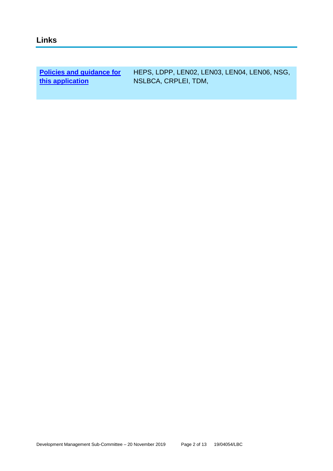| <b>Policies and guidance for</b> | HEPS, LDPP, LENO2, LENO3, LENO4, LENO6, NSG, |
|----------------------------------|----------------------------------------------|
| this application                 | NSLBCA, CRPLEI, TDM,                         |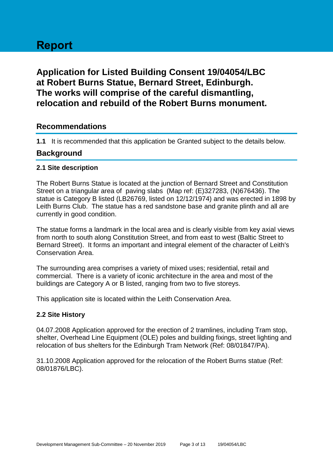# **Report**

## **Application for Listed Building Consent 19/04054/LBC at Robert Burns Statue, Bernard Street, Edinburgh. The works will comprise of the careful dismantling, relocation and rebuild of the Robert Burns monument.**

### **Recommendations**

**1.1** It is recommended that this application be Granted subject to the details below.

### **Background**

### **2.1 Site description**

The Robert Burns Statue is located at the junction of Bernard Street and Constitution Street on a triangular area of paving slabs (Map ref: (E)327283, (N)676436). The statue is Category B listed (LB26769, listed on 12/12/1974) and was erected in 1898 by Leith Burns Club. The statue has a red sandstone base and granite plinth and all are currently in good condition.

The statue forms a landmark in the local area and is clearly visible from key axial views from north to south along Constitution Street, and from east to west (Baltic Street to Bernard Street). It forms an important and integral element of the character of Leith's Conservation Area.

The surrounding area comprises a variety of mixed uses; residential, retail and commercial. There is a variety of iconic architecture in the area and most of the buildings are Category A or B listed, ranging from two to five storeys.

This application site is located within the Leith Conservation Area.

### **2.2 Site History**

04.07.2008 Application approved for the erection of 2 tramlines, including Tram stop, shelter, Overhead Line Equipment (OLE) poles and building fixings, street lighting and relocation of bus shelters for the Edinburgh Tram Network (Ref: 08/01847/PA).

31.10.2008 Application approved for the relocation of the Robert Burns statue (Ref: 08/01876/LBC).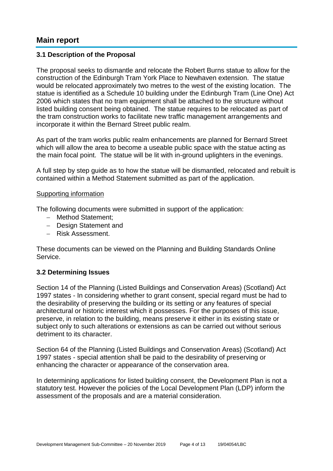### **Main report**

### **3.1 Description of the Proposal**

The proposal seeks to dismantle and relocate the Robert Burns statue to allow for the construction of the Edinburgh Tram York Place to Newhaven extension. The statue would be relocated approximately two metres to the west of the existing location. The statue is identified as a Schedule 10 building under the Edinburgh Tram (Line One) Act 2006 which states that no tram equipment shall be attached to the structure without listed building consent being obtained. The statue requires to be relocated as part of the tram construction works to facilitate new traffic management arrangements and incorporate it within the Bernard Street public realm.

As part of the tram works public realm enhancements are planned for Bernard Street which will allow the area to become a useable public space with the statue acting as the main focal point. The statue will be lit with in-ground uplighters in the evenings.

A full step by step guide as to how the statue will be dismantled, relocated and rebuilt is contained within a Method Statement submitted as part of the application.

#### Supporting information

The following documents were submitted in support of the application:

- Method Statement;
- Design Statement and
- Risk Assessment.

These documents can be viewed on the Planning and Building Standards Online Service.

### **3.2 Determining Issues**

Section 14 of the Planning (Listed Buildings and Conservation Areas) (Scotland) Act 1997 states - In considering whether to grant consent, special regard must be had to the desirability of preserving the building or its setting or any features of special architectural or historic interest which it possesses. For the purposes of this issue, preserve, in relation to the building, means preserve it either in its existing state or subject only to such alterations or extensions as can be carried out without serious detriment to its character.

Section 64 of the Planning (Listed Buildings and Conservation Areas) (Scotland) Act 1997 states - special attention shall be paid to the desirability of preserving or enhancing the character or appearance of the conservation area.

In determining applications for listed building consent, the Development Plan is not a statutory test. However the policies of the Local Development Plan (LDP) inform the assessment of the proposals and are a material consideration.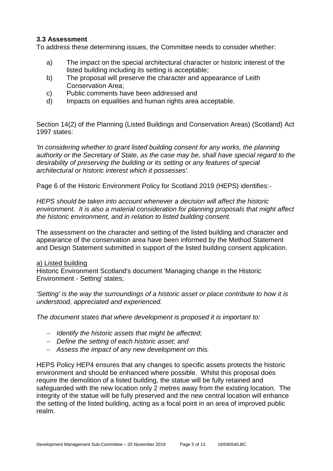### **3.3 Assessment**

To address these determining issues, the Committee needs to consider whether:

- a) The impact on the special architectural character or historic interest of the listed building including its setting is acceptable;
- b) The proposal will preserve the character and appearance of Leith Conservation Area;
- c) Public comments have been addressed and
- d) Impacts on equalities and human rights area acceptable.

Section 14(2) of the Planning (Listed Buildings and Conservation Areas) (Scotland) Act 1997 states:

*'In considering whether to grant listed building consent for any works, the planning authority or the Secretary of State, as the case may be, shall have special regard to the desirability of preserving the building or its setting or any features of special architectural or historic interest which it possesses'.*

Page 6 of the Historic Environment Policy for Scotland 2019 (HEPS) identifies:-

*HEPS should be taken into account whenever a decision will affect the historic environment. It is also a material consideration for planning proposals that might affect the historic environment, and in relation to listed building consent.*

The assessment on the character and setting of the listed building and character and appearance of the conservation area have been informed by the Method Statement and Design Statement submitted in support of the listed building consent application.

### a) Listed building

Historic Environment Scotland's document 'Managing change in the Historic Environment - Setting' states;

*'Setting' is the way the surroundings of a historic asset or place contribute to how it is understood, appreciated and experienced.*

*The document states that where development is proposed it is important to:*

- *Identify the historic assets that might be affected;*
- *Define the setting of each historic asset; and*
- *Assess the impact of any new development on this.*

HEPS Policy HEP4 ensures that any changes to specific assets protects the historic environment and should be enhanced where possible. Whilst this proposal does require the demolition of a listed building, the statue will be fully retained and safeguarded with the new location only 2 metres away from the existing location. The integrity of the statue will be fully preserved and the new central location will enhance the setting of the listed building, acting as a focal point in an area of improved public realm.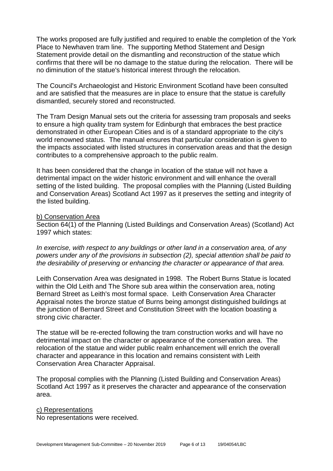The works proposed are fully justified and required to enable the completion of the York Place to Newhaven tram line. The supporting Method Statement and Design Statement provide detail on the dismantling and reconstruction of the statue which confirms that there will be no damage to the statue during the relocation. There will be no diminution of the statue's historical interest through the relocation.

The Council's Archaeologist and Historic Environment Scotland have been consulted and are satisfied that the measures are in place to ensure that the statue is carefully dismantled, securely stored and reconstructed.

The Tram Design Manual sets out the criteria for assessing tram proposals and seeks to ensure a high quality tram system for Edinburgh that embraces the best practice demonstrated in other European Cities and is of a standard appropriate to the city's world renowned status. The manual ensures that particular consideration is given to the impacts associated with listed structures in conservation areas and that the design contributes to a comprehensive approach to the public realm.

It has been considered that the change in location of the statue will not have a detrimental impact on the wider historic environment and will enhance the overall setting of the listed building. The proposal complies with the Planning (Listed Building and Conservation Areas) Scotland Act 1997 as it preserves the setting and integrity of the listed building.

#### b) Conservation Area

Section 64(1) of the Planning (Listed Buildings and Conservation Areas) (Scotland) Act 1997 which states:

*In exercise, with respect to any buildings or other land in a conservation area, of any powers under any of the provisions in subsection (2), special attention shall be paid to the desirability of preserving or enhancing the character or appearance of that area.*

Leith Conservation Area was designated in 1998. The Robert Burns Statue is located within the Old Leith and The Shore sub area within the conservation area, noting Bernard Street as Leith's most formal space. Leith Conservation Area Character Appraisal notes the bronze statue of Burns being amongst distinguished buildings at the junction of Bernard Street and Constitution Street with the location boasting a strong civic character.

The statue will be re-erected following the tram construction works and will have no detrimental impact on the character or appearance of the conservation area. The relocation of the statue and wider public realm enhancement will enrich the overall character and appearance in this location and remains consistent with Leith Conservation Area Character Appraisal.

The proposal complies with the Planning (Listed Building and Conservation Areas) Scotland Act 1997 as it preserves the character and appearance of the conservation area.

c) Representations No representations were received.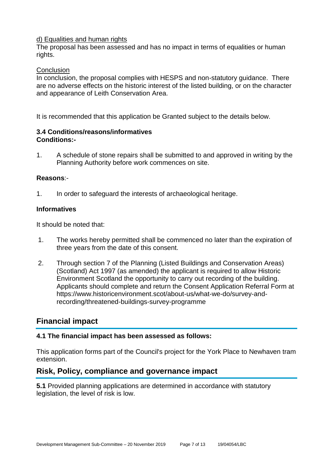### d) Equalities and human rights

The proposal has been assessed and has no impact in terms of equalities or human rights.

#### **Conclusion**

In conclusion, the proposal complies with HESPS and non-statutory guidance. There are no adverse effects on the historic interest of the listed building, or on the character and appearance of Leith Conservation Area.

It is recommended that this application be Granted subject to the details below.

### **3.4 Conditions/reasons/informatives Conditions:-**

1. A schedule of stone repairs shall be submitted to and approved in writing by the Planning Authority before work commences on site.

#### **Reasons**:-

1. In order to safeguard the interests of archaeological heritage.

#### **Informatives**

It should be noted that:

- 1. The works hereby permitted shall be commenced no later than the expiration of three years from the date of this consent.
- 2. Through section 7 of the Planning (Listed Buildings and Conservation Areas) (Scotland) Act 1997 (as amended) the applicant is required to allow Historic Environment Scotland the opportunity to carry out recording of the building. Applicants should complete and return the Consent Application Referral Form at https://www.historicenvironment.scot/about-us/what-we-do/survey-andrecording/threatened-buildings-survey-programme

### **Financial impact**

### **4.1 The financial impact has been assessed as follows:**

This application forms part of the Council's project for the York Place to Newhaven tram extension.

### **Risk, Policy, compliance and governance impact**

**5.1** Provided planning applications are determined in accordance with statutory legislation, the level of risk is low.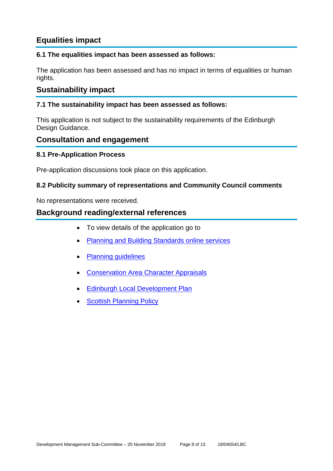### **Equalities impact**

### **6.1 The equalities impact has been assessed as follows:**

The application has been assessed and has no impact in terms of equalities or human rights.

### **Sustainability impact**

### **7.1 The sustainability impact has been assessed as follows:**

This application is not subject to the sustainability requirements of the Edinburgh Design Guidance.

### **Consultation and engagement**

### **8.1 Pre-Application Process**

Pre-application discussions took place on this application.

### **8.2 Publicity summary of representations and Community Council comments**

No representations were received.

### **Background reading/external references**

- To view details of the application go to
- [Planning and Building Standards online services](https://citydev-portal.edinburgh.gov.uk/idoxpa-web/search.do?action=simple&searchType=Application)
- [Planning guidelines](http://www.edinburgh.gov.uk/planningguidelines)
- [Conservation Area Character Appraisals](http://www.edinburgh.gov.uk/characterappraisals)
- [Edinburgh Local Development Plan](http://www.edinburgh.gov.uk/localdevelopmentplan)
- **[Scottish Planning Policy](http://www.scotland.gov.uk/Topics/Built-Environment/planning/Policy)**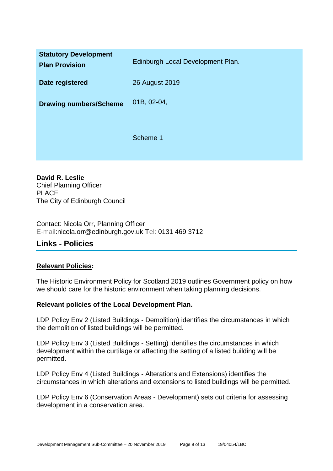| <b>Statutory Development</b><br><b>Plan Provision</b> | Edinburgh Local Development Plan. |
|-------------------------------------------------------|-----------------------------------|
| Date registered                                       | 26 August 2019                    |
| <b>Drawing numbers/Scheme</b>                         | 01B, 02-04,                       |
|                                                       | Scheme 1                          |

**David R. Leslie** Chief Planning Officer PLACE The City of Edinburgh Council

Contact: Nicola Orr, Planning Officer E-mail:nicola.orr@edinburgh.gov.uk Tel: 0131 469 3712

### **Links - Policies**

### **Relevant Policies:**

The Historic Environment Policy for Scotland 2019 outlines Government policy on how we should care for the historic environment when taking planning decisions.

### **Relevant policies of the Local Development Plan.**

LDP Policy Env 2 (Listed Buildings - Demolition) identifies the circumstances in which the demolition of listed buildings will be permitted.

LDP Policy Env 3 (Listed Buildings - Setting) identifies the circumstances in which development within the curtilage or affecting the setting of a listed building will be permitted.

LDP Policy Env 4 (Listed Buildings - Alterations and Extensions) identifies the circumstances in which alterations and extensions to listed buildings will be permitted.

LDP Policy Env 6 (Conservation Areas - Development) sets out criteria for assessing development in a conservation area.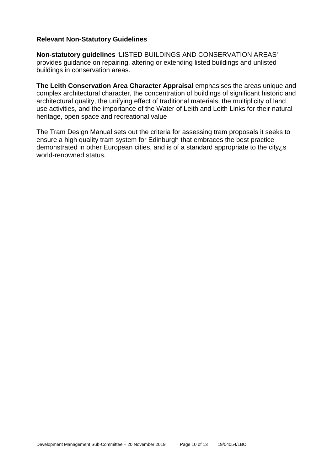### **Relevant Non-Statutory Guidelines**

**Non-statutory guidelines** 'LISTED BUILDINGS AND CONSERVATION AREAS' provides guidance on repairing, altering or extending listed buildings and unlisted buildings in conservation areas.

**The Leith Conservation Area Character Appraisal** emphasises the areas unique and complex architectural character, the concentration of buildings of significant historic and architectural quality, the unifying effect of traditional materials, the multiplicity of land use activities, and the importance of the Water of Leith and Leith Links for their natural heritage, open space and recreational value

The Tram Design Manual sets out the criteria for assessing tram proposals it seeks to ensure a high quality tram system for Edinburgh that embraces the best practice demonstrated in other European cities, and is of a standard appropriate to the city¿s world-renowned status.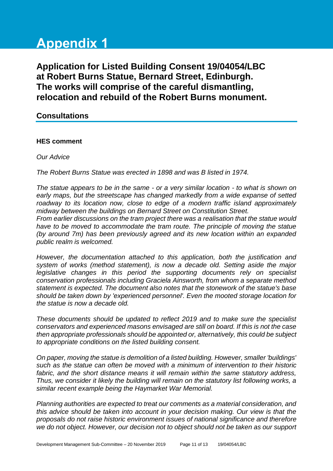# **Appendix 1**

**Application for Listed Building Consent 19/04054/LBC at Robert Burns Statue, Bernard Street, Edinburgh. The works will comprise of the careful dismantling, relocation and rebuild of the Robert Burns monument.**

### **Consultations**

### **HES comment**

*Our Advice*

*The Robert Burns Statue was erected in 1898 and was B listed in 1974.*

*The statue appears to be in the same - or a very similar location - to what is shown on early maps, but the streetscape has changed markedly from a wide expanse of setted roadway to its location now, close to edge of a modern traffic island approximately midway between the buildings on Bernard Street on Constitution Street.*

*From earlier discussions on the tram project there was a realisation that the statue would*  have to be moved to accommodate the tram route. The principle of moving the statue *(by around 7m) has been previously agreed and its new location within an expanded public realm is welcomed.*

*However, the documentation attached to this application, both the justification and system of works (method statement), is now a decade old. Setting aside the major*  legislative changes in this period the supporting documents rely on specialist *conservation professionals including Graciela Ainsworth, from whom a separate method statement is expected. The document also notes that the stonework of the statue's base should be taken down by 'experienced personnel'. Even the mooted storage location for the statue is now a decade old.*

*These documents should be updated to reflect 2019 and to make sure the specialist conservators and experienced masons envisaged are still on board. If this is not the case then appropriate professionals should be appointed or, alternatively, this could be subject to appropriate conditions on the listed building consent.*

*On paper, moving the statue is demolition of a listed building. However, smaller 'buildings' such as the statue can often be moved with a minimum of intervention to their historic fabric, and the short distance means it will remain within the same statutory address, Thus, we consider it likely the building will remain on the statutory list following works, a similar recent example being the Haymarket War Memorial.*

*Planning authorities are expected to treat our comments as a material consideration, and this advice should be taken into account in your decision making. Our view is that the proposals do not raise historic environment issues of national significance and therefore we do not object. However, our decision not to object should not be taken as our support*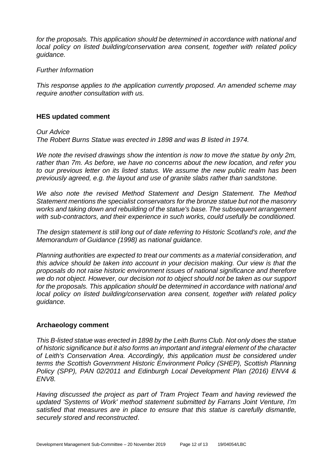*for the proposals. This application should be determined in accordance with national and local policy on listed building/conservation area consent, together with related policy guidance.*

#### *Further Information*

*This response applies to the application currently proposed. An amended scheme may require another consultation with us.*

### **HES updated comment**

#### *Our Advice*

*The Robert Burns Statue was erected in 1898 and was B listed in 1974.*

*We note the revised drawings show the intention is now to move the statue by only 2m, rather than 7m. As before, we have no concerns about the new location, and refer you to our previous letter on its listed status. We assume the new public realm has been previously agreed, e.g. the layout and use of granite slabs rather than sandstone.*

*We also note the revised Method Statement and Design Statement. The Method Statement mentions the specialist conservators for the bronze statue but not the masonry works and taking down and rebuilding of the statue's base. The subsequent arrangement with sub-contractors, and their experience in such works, could usefully be conditioned.*

*The design statement is still long out of date referring to Historic Scotland's role, and the Memorandum of Guidance (1998) as national guidance.*

*Planning authorities are expected to treat our comments as a material consideration, and this advice should be taken into account in your decision making. Our view is that the proposals do not raise historic environment issues of national significance and therefore we do not object. However, our decision not to object should not be taken as our support for the proposals. This application should be determined in accordance with national and local policy on listed building/conservation area consent, together with related policy guidance.*

#### **Archaeology comment**

*This B-listed statue was erected in 1898 by the Leith Burns Club. Not only does the statue of historic significance but it also forms an important and integral element of the character of Leith's Conservation Area. Accordingly, this application must be considered under terms the Scottish Government Historic Environment Policy (SHEP), Scottish Planning Policy (SPP), PAN 02/2011 and Edinburgh Local Development Plan (2016) ENV4 & ENV8.*

*Having discussed the project as part of Tram Project Team and having reviewed the updated 'Systems of Work' method statement submitted by Farrans Joint Venture, I'm satisfied that measures are in place to ensure that this statue is carefully dismantle, securely stored and reconstructed*.